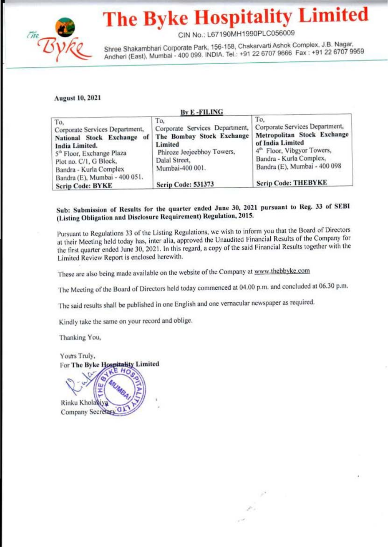

# **The Byke Hospitality Limited**

GIN No.: L67190MH1990PLC056009

Shree Shakambhari Corporate Park, 156-158, Chakarvarti Ashok Complex, J.B. Nagar, Andheri (East), Mumbai - 400 099. INDIA. Tel.: +91 22 6707 9666 Fax : +91 22 6707 9959

### August 10, 2021

## **By E-FILING**  $T_0$ ,  $T_0$ ,  $T_0$ ,  $T_0$ ,  $T_0$ ,  $T_0$ ,  $T_0$ ,  $T_0$ ,  $T_0$ ,  $T_0$ ,  $T_0$ ,  $T_0$ ,  $T_0$ ,  $T_0$ ,  $T_0$ ,  $T_0$ ,  $T_0$ ,  $T_0$ ,  $T_0$ ,  $T_0$ ,  $T_0$ ,  $T_0$ ,  $T_0$ ,  $T_0$ ,  $T_0$ ,  $T_0$ ,  $T_0$ ,  $T_0$ ,  $T_0$ ,  $T_0$ ,  $T_0$ ,  $T_0$ Corporate Services Department. Corporate Services Department, Corporate Services Department, Corporate Services Department, Corporate Services Department, National Stock Exchange of The Bombay Stock Exchange Metropolitan Stock Exchange India Limited of India Limited India Limited<br>  $5^{\text{th}}$  Floor, Exchange Plaza<br>
Phiroze Jeejeebhoy Towers,<br>  $\frac{1}{\text{th}}$  Floor, Vibgyor Towers, Phiroze Jeejeebhoy Towers, <sup>4"</sup> Floor, Vibgyor Tower<br>Dalal Street. **Bandra** - Kurla Complex, Plot no. C/1, G Block, Dalal Street, Dalandra - Kurla Complex Mumbai-400 001. Bandra (E), Mumbai - 400 098. Bandra (E), Mumbai - 400 051.<br>Scrip Code: BYKE Serip Code: 531373 Serip Code: THEBYKE

# Sub: Submission of Results for the quarter ended June 30, 2021 pursuant to Reg. 33 of SEBI (Listing Obligation and Disclosure Requirement) Regulation, 2015.

Pursunnt to Regulations J3 of the Listing Regulations, we wish to inform you that the Board of Directors at their Meeting held today has, inter alia, approved the Unaudited Financial Results of the Company for the first quarter ended June 30. 2021. In this regard. a copy of the said financial Results together with the Limited Review Report is enclosed herewith.

These are also being mudc available on the website of the Company at www.thebbyke.com

The Meeting of the Board of Directors held today commenced at 04.00 p.m. and concluded at 06.30 p.m.

The said results shall be published in one English and one vernacular newspaper as required.

Kindly take the same on your record and oblige.

Thanking You,

Yours Truly, For The Byke Hospitality Limited

Rinku Kholakiy Company Secretary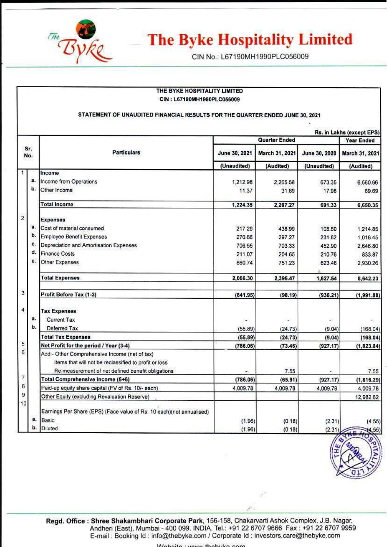

# **The Byke Hospitality Limited**

CIN No.: L67190MH1990PLC056009

| CIN: L67190MH1990PLC056009<br>STATEMENT OF UNAUDITED FINANCIAL RESULTS FOR THE QUARTER ENDED JUNE 30, 2021 |    |                                                                                                        |                              |                             |                              |                             |
|------------------------------------------------------------------------------------------------------------|----|--------------------------------------------------------------------------------------------------------|------------------------------|-----------------------------|------------------------------|-----------------------------|
|                                                                                                            |    |                                                                                                        |                              |                             |                              | Rs. in Lakhs (except EPS)   |
| Sr.                                                                                                        |    | <b>Particulars</b>                                                                                     | <b>Quarter Ended</b>         |                             |                              | Year Ended                  |
| No.                                                                                                        |    |                                                                                                        | June 30, 2021<br>(Unaudited) | March 31, 2021<br>(Audited) | June 30, 2020<br>(Unaudited) | March 31, 2021<br>(Audited) |
|                                                                                                            |    |                                                                                                        |                              |                             |                              |                             |
| ŧ                                                                                                          |    | Income                                                                                                 |                              |                             |                              |                             |
|                                                                                                            | a. | Income from Operations                                                                                 | 1,212.98                     | 2,265.58                    | 673.35                       | 6,560.66                    |
|                                                                                                            | b. | Other Income                                                                                           | 11.37                        | 31.69                       | 17.98                        | 89.69                       |
|                                                                                                            |    | <b>Total Income</b>                                                                                    | 1,224.35                     | 2,297.27                    | 691.33                       | 6,650.35                    |
| $\overline{2}$                                                                                             |    | <b>Expenses</b>                                                                                        |                              |                             |                              |                             |
|                                                                                                            | a. | Cost of material consumed                                                                              | 217.29                       | 438.99                      | 108.60                       | 1,214.85                    |
|                                                                                                            | b. | <b>Employee Benefit Expenses</b>                                                                       | 270.66                       | 297.27                      | 231.82                       | 1,016.45                    |
|                                                                                                            | c. | Depreciation and Amortisation Expenses                                                                 | 706.55                       | 703.33                      | 452.90                       | 2,646.80                    |
|                                                                                                            | d. | <b>Finance Costs</b>                                                                                   | 211.07                       | 204.65                      | 210.76                       | 833.87                      |
|                                                                                                            | e. | Other Expenses                                                                                         | 660.74                       | 751.23                      | 623.46                       | 2,930.26                    |
|                                                                                                            |    | <b>Total Expenses</b>                                                                                  | 2,066.30                     | 2,395.47                    | 1,627.54                     | 8,642.23                    |
| $\overline{\mathbf{3}}$                                                                                    |    | Profit Before Tax (1-2)                                                                                | (841.95)                     | (98.19)                     | (936.21)                     | (1,991.88)                  |
| 4                                                                                                          |    | <b>Tax Expenses</b>                                                                                    |                              |                             |                              |                             |
|                                                                                                            | a. | <b>Current Tax</b>                                                                                     | ٠                            | ù.                          | g,                           |                             |
|                                                                                                            | b. | Deferred Tax                                                                                           | (55.89)                      | (24.73)                     | (9.04)                       | (168.04)                    |
|                                                                                                            |    | <b>Total Tax Expenses</b>                                                                              | (55.89)                      | (24.73)                     | (9.04)                       | (168.04)                    |
| 5                                                                                                          |    | Net Profit for the period / Year (3-4)                                                                 | (786.06)                     | (73.46)                     | (927.17)                     | (1,823.84)                  |
| 6                                                                                                          |    | Add:- Other Comprehensive Income (net of tax)<br>Items that will not be reclassified to profit or loss |                              |                             |                              |                             |
| $\overline{7}$                                                                                             |    | Re measurement of net defined benefit obligations                                                      |                              | 7.55                        |                              | 7.55                        |
| 8                                                                                                          |    | Total Comprehensive Income (5+6)                                                                       | (786.06)                     | (65.91)                     | (927.17)                     | (1,816.29)                  |
| 9                                                                                                          |    | Paid-up equity share capital (FV of Rs. 10/- each)<br>Other Equity (excluding Revaluation Reserve)     | 4.009.78                     | 4,009.78                    | 4,009.78                     | 4,009.78                    |
| 10                                                                                                         |    |                                                                                                        |                              |                             |                              | 12,982.82                   |
|                                                                                                            | a. | Earnings Per Share (EPS) (Face value of Rs. 10 each)(not annualised)<br>Basic                          | (1.96)                       | (0.18)                      | (2.31)                       | (4.55)                      |
|                                                                                                            | b. | Diluted                                                                                                | (1.96)                       | (0.18)                      | (2.31)                       | (4,55)                      |

Regd. Office : Shree Shakambhari Corporate Park, 156-158, Chakarvarti Ashok Complex, J.B. Nagar, Andheri (East), Mumbai - 400 099. INDIA. Tel.: +91 22 6707 9666 Fax : +91 22 6707 9959 E-mail : Booking ld : info@thebyke.com I Corporate ld : investors.care@thebyke.com

 $E(A^* \circledast)$ 

L CARGE A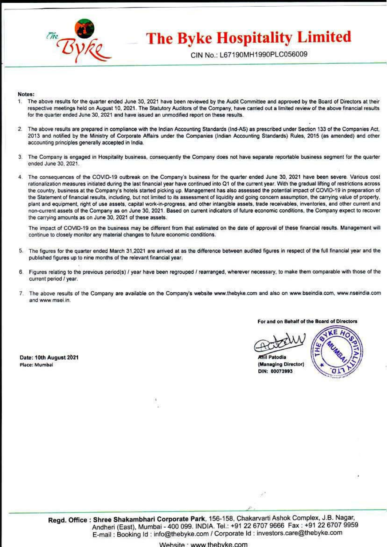

# **The Byke Hospitality Limited**

CIN No.: L67190MH1990PLC056009

#### **Notes:**

- 1. The above results for the quarter ended June 30, 2021 have been reviewed by the Audit Committee and approved by the Board of Directors at their **respective meetings held on August 10, 2021. The Statutory Auditors of the Company, have carried out a limited review of the above financial resutts**  for the quarter ended June 30, 2021 and have issued an unmodified report on these results.
- 2. The above results are prepared in compliance with the Indian Accounting Standards (lnd·AS) as prescribed under Section 133 of the Companies Act. 2013 and. notified by the Ministry of Corporate Affairs under the Companies (Indian Accounting Standards) Rules, 2015 (as amended) and other accounting principles generally accepted in India.
- **3. The Company is engaged in Hospitality business, consequentiy the Company does not have separate reportable business segment for the quarter**  ended June 30, 2021.
- The consequences of the COVID-19 outbreak on the Company's business for the quarter ended June 30, 2021 have been severe. Various cost rationalization measures initiated during the last financial year have continued into Q1 of the current year. With the gradual lifting of restrictions across the country, business at the Company's hotels started picking up, Management has also assessed the potential impact of COVID·19 in preparation of the Statement of financial results, including, but not limited to its assessment of liquidity and going concern assumption, the carrying value of property, plant and equipment, right of use assets, capital work-in-progress, and other intangible assets, trade receivables, inventories, and other current and non-current assets of the Company as on June 30, 2021. Based on current indicators of future economic conditions, the Company expect to recover the carrying amounts as on June 30, 2021 of these assets.

The impact of COVID-19 on the business may be different from that estimated on the date of approval of these financial results. Management will **con'tinue to closely monitor** *any* **material changes to future economic conditions.** 

- 5. The figures for the quarter ended March 31,2021 are arrived at as the difference between audited figures in respect of the full financial year and the **published figures up to nine months of the relevant financial year.**
- 6. Figures relating to the previous period(s) I year have been regrouped I rearranged. wherever necessary, to make them comparable with those of the **current period I year.**
- 7 The above results of the Company are available on the Company's website www.thebyke.com and also on www.bselndia.com, www.nseindia.com **and www msei in.**

DIN: 00073993



Date: 1Oth August 2b21 **ptace: Mumbal** 

> Regd. Office : Shree Shakambhari Corporate Park, 156-158, Chakarvarti Ashok Complex, J.B. Nagar, Andheri (East), Mumbai- 400 099. INDIA. Tel.: +91 22 6707 9666 Fax : +91 22 6707 9959 E-mail : Booking ld : info@thebyke.com I Corporate ld : mvestors.care@thebyke.com

> > Website · www.thebvke.com